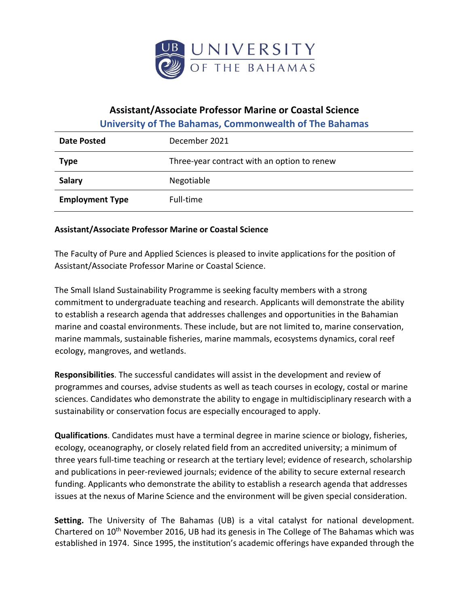

## **Assistant/Associate Professor Marine or Coastal Science**

**University of The Bahamas, Commonwealth of The Bahamas** 

| Date Posted            | December 2021                               |
|------------------------|---------------------------------------------|
| <b>Type</b>            | Three-year contract with an option to renew |
| <b>Salary</b>          | Negotiable                                  |
| <b>Employment Type</b> | Full-time                                   |

## **Assistant/Associate Professor Marine or Coastal Science**

The Faculty of Pure and Applied Sciences is pleased to invite applications for the position of Assistant/Associate Professor Marine or Coastal Science.

The Small Island Sustainability Programme is seeking faculty members with a strong commitment to undergraduate teaching and research. Applicants will demonstrate the ability to establish a research agenda that addresses challenges and opportunities in the Bahamian marine and coastal environments. These include, but are not limited to, marine conservation, marine mammals, sustainable fisheries, marine mammals, ecosystems dynamics, coral reef ecology, mangroves, and wetlands.

**Responsibilities**. The successful candidates will assist in the development and review of programmes and courses, advise students as well as teach courses in ecology, costal or marine sciences. Candidates who demonstrate the ability to engage in multidisciplinary research with a sustainability or conservation focus are especially encouraged to apply.

**Qualifications**. Candidates must have a terminal degree in marine science or biology, fisheries, ecology, oceanography, or closely related field from an accredited university; a minimum of three years full-time teaching or research at the tertiary level; evidence of research, scholarship and publications in peer-reviewed journals; evidence of the ability to secure external research funding. Applicants who demonstrate the ability to establish a research agenda that addresses issues at the nexus of Marine Science and the environment will be given special consideration.

**Setting.** The University of The Bahamas (UB) is a vital catalyst for national development. Chartered on 10<sup>th</sup> November 2016, UB had its genesis in The College of The Bahamas which was established in 1974. Since 1995, the institution's academic offerings have expanded through the